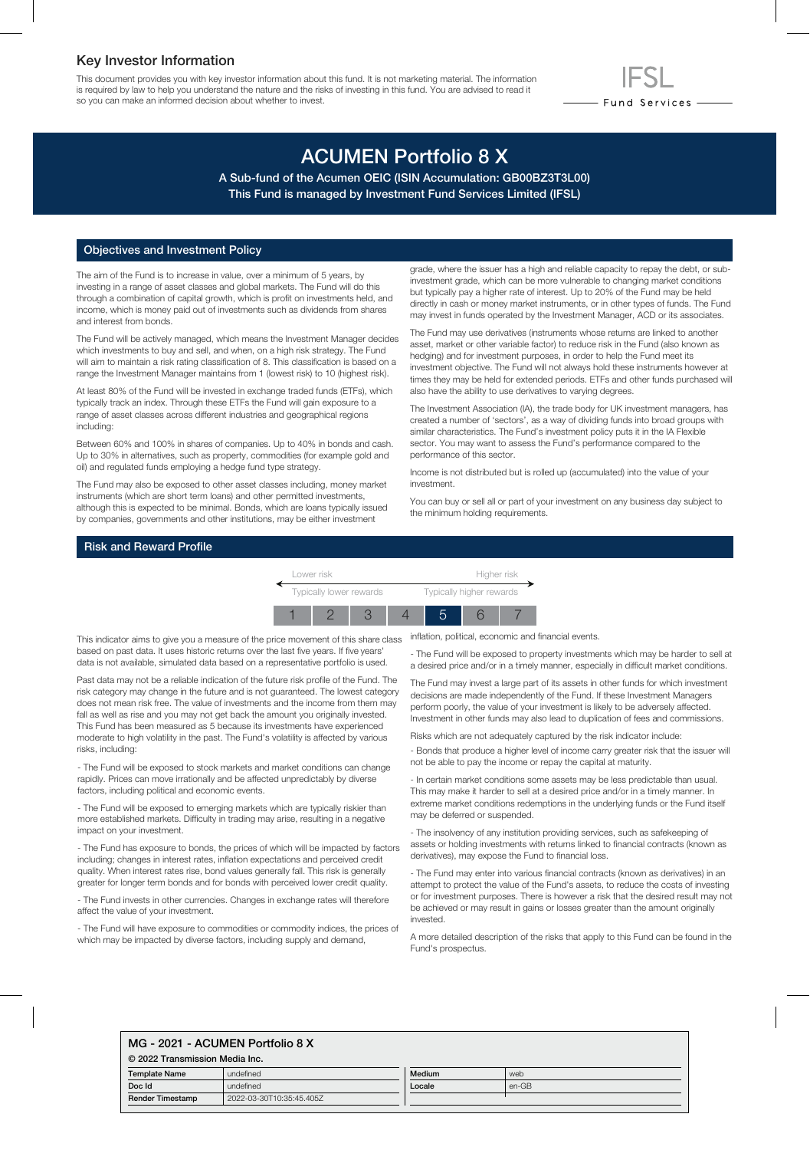### Key Investor Information

This document provides you with key investor information about this fund. It is not marketing material. The information is required by law to help you understand the nature and the risks of investing in this fund. You are advised to read it so you can make an informed decision about whether to invest.

# ACUMEN Portfolio 8 X

A Sub-fund of the Acumen OEIC (ISIN Accumulation: GB00BZ3T3L00) This Fund is managed by Investment Fund Services Limited (IFSL)

#### Objectives and Investment Policy

The aim of the Fund is to increase in value, over a minimum of 5 years, by investing in a range of asset classes and global markets. The Fund will do this through a combination of capital growth, which is profit on investments held, and income, which is money paid out of investments such as dividends from shares and interest from bonds.

The Fund will be actively managed, which means the Investment Manager decides which investments to buy and sell, and when, on a high risk strategy. The Fund will aim to maintain a risk rating classification of 8. This classification is based on a range the Investment Manager maintains from 1 (lowest risk) to 10 (highest risk).

At least 80% of the Fund will be invested in exchange traded funds (ETFs), which typically track an index. Through these ETFs the Fund will gain exposure to a range of asset classes across different industries and geographical regions including:

Between 60% and 100% in shares of companies. Up to 40% in bonds and cash. Up to 30% in alternatives, such as property, commodities (for example gold and oil) and regulated funds employing a hedge fund type strategy.

The Fund may also be exposed to other asset classes including, money market instruments (which are short term loans) and other permitted investments, although this is expected to be minimal. Bonds, which are loans typically issued by companies, governments and other institutions, may be either investment

grade, where the issuer has a high and reliable capacity to repay the debt, or subinvestment grade, which can be more vulnerable to changing market conditions but typically pay a higher rate of interest. Up to 20% of the Fund may be held directly in cash or money market instruments, or in other types of funds. The Fund may invest in funds operated by the Investment Manager, ACD or its associates.

- Fund Services —

The Fund may use derivatives (instruments whose returns are linked to another asset, market or other variable factor) to reduce risk in the Fund (also known as hedging) and for investment purposes, in order to help the Fund meet its investment objective. The Fund will not always hold these instruments however at times they may be held for extended periods. ETFs and other funds purchased will also have the ability to use derivatives to varying degrees.

The Investment Association (IA), the trade body for UK investment managers, has created a number of 'sectors', as a way of dividing funds into broad groups with similar characteristics. The Fund's investment policy puts it in the IA Flexible sector. You may want to assess the Fund's performance compared to the performance of this sector.

Income is not distributed but is rolled up (accumulated) into the value of your investment.

You can buy or sell all or part of your investment on any business day subject to the minimum holding requirements.

#### Risk and Reward Profile

Lower risk **Higher risk** Typically lower rewards Typically higher rewards 1 2 3 4 5 6 7

This indicator aims to give you a measure of the price movement of this share class based on past data. It uses historic returns over the last five years. If five years' data is not available, simulated data based on a representative portfolio is used.

Past data may not be a reliable indication of the future risk profile of the Fund. The risk category may change in the future and is not guaranteed. The lowest category does not mean risk free. The value of investments and the income from them may fall as well as rise and you may not get back the amount you originally invested. This Fund has been measured as 5 because its investments have experienced moderate to high volatility in the past. The Fund's volatility is affected by various risks, including:

- The Fund will be exposed to stock markets and market conditions can change rapidly. Prices can move irrationally and be affected unpredictably by diverse factors, including political and economic events.

- The Fund will be exposed to emerging markets which are typically riskier than more established markets. Difficulty in trading may arise, resulting in a negative impact on your investment.

- The Fund has exposure to bonds, the prices of which will be impacted by factors including; changes in interest rates, inflation expectations and perceived credit quality. When interest rates rise, bond values generally fall. This risk is generally greater for longer term bonds and for bonds with perceived lower credit quality.

- The Fund invests in other currencies. Changes in exchange rates will therefore affect the value of your investment.

- The Fund will have exposure to commodities or commodity indices, the prices of which may be impacted by diverse factors, including supply and demand,

inflation, political, economic and financial events.

- The Fund will be exposed to property investments which may be harder to sell at a desired price and/or in a timely manner, especially in difficult market conditions.

The Fund may invest a large part of its assets in other funds for which investment decisions are made independently of the Fund. If these Investment Managers perform poorly, the value of your investment is likely to be adversely affected. Investment in other funds may also lead to duplication of fees and commissions.

Risks which are not adequately captured by the risk indicator include:

- Bonds that produce a higher level of income carry greater risk that the issuer will not be able to pay the income or repay the capital at maturity.

- In certain market conditions some assets may be less predictable than usual. This may make it harder to sell at a desired price and/or in a timely manner. In extreme market conditions redemptions in the underlying funds or the Fund itself may be deferred or suspended.

- The insolvency of any institution providing services, such as safekeeping of assets or holding investments with returns linked to financial contracts (known as derivatives), may expose the Fund to financial loss.

- The Fund may enter into various financial contracts (known as derivatives) in an attempt to protect the value of the Fund's assets, to reduce the costs of investing or for investment purposes. There is however a risk that the desired result may not be achieved or may result in gains or losses greater than the amount originally invested.

A more detailed description of the risks that apply to this Fund can be found in the Fund's prospectus.